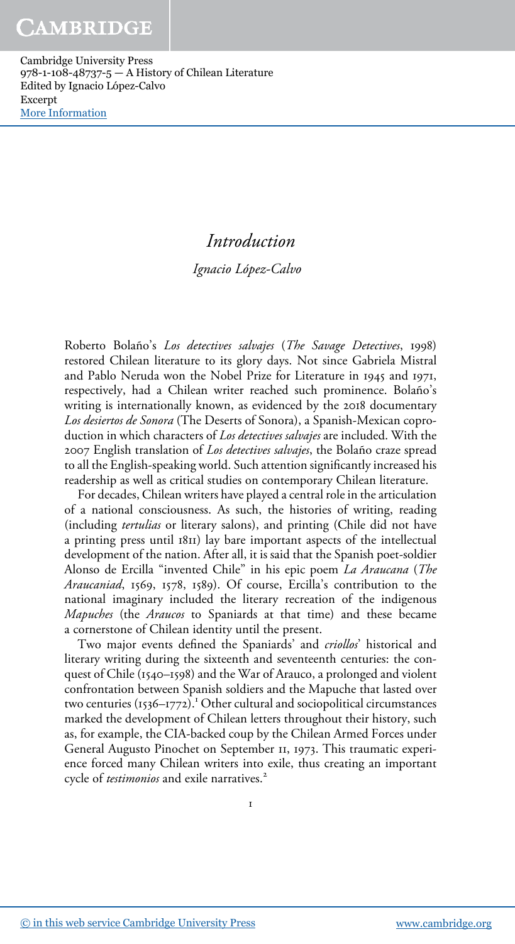# Introduction

Ignacio López-Calvo

Roberto Bolaño's Los detectives salvajes (The Savage Detectives, 1998) restored Chilean literature to its glory days. Not since Gabriela Mistral and Pablo Neruda won the Nobel Prize for Literature in 1945 and 1971, respectively, had a Chilean writer reached such prominence. Bolaño's writing is internationally known, as evidenced by the 2018 documentary Los desiertos de Sonora (The Deserts of Sonora), a Spanish-Mexican coproduction in which characters of Los detectives salvajes are included. With the 2007 English translation of Los detectives salvajes, the Bolaño craze spread to all the English-speaking world. Such attention significantly increased his readership as well as critical studies on contemporary Chilean literature.

For decades, Chilean writers have played a central role in the articulation of a national consciousness. As such, the histories of writing, reading (including tertulias or literary salons), and printing (Chile did not have a printing press until 1811) lay bare important aspects of the intellectual development of the nation. After all, it is said that the Spanish poet-soldier Alonso de Ercilla "invented Chile" in his epic poem La Araucana (The Araucaniad, 1569, 1578, 1589). Of course, Ercilla's contribution to the national imaginary included the literary recreation of the indigenous Mapuches (the Araucos to Spaniards at that time) and these became a cornerstone of Chilean identity until the present.

Two major events defined the Spaniards' and *criollos'* historical and literary writing during the sixteenth and seventeenth centuries: the conquest of Chile (1540–1598) and the War of Arauco, a prolonged and violent confrontation between Spanish soldiers and the Mapuche that lasted over two centuries  $(i536-1772)$ .<sup>1</sup> Other cultural and sociopolitical circumstances marked the development of Chilean letters throughout their history, such as, for example, the CIA-backed coup by the Chilean Armed Forces under General Augusto Pinochet on September 11, 1973. This traumatic experience forced many Chilean writers into exile, thus creating an important cycle of *testimonios* and exile narratives.<sup>2</sup>

1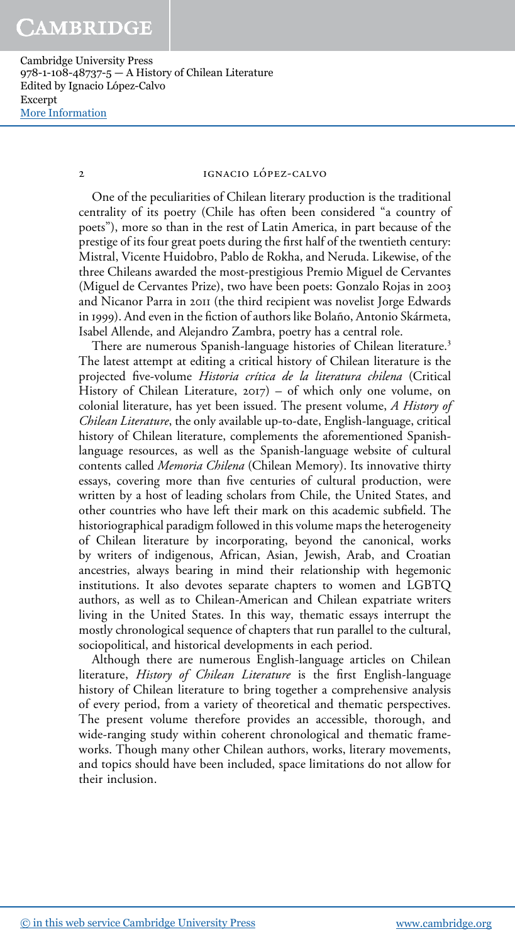#### 2 IGNACIO LÓPEZ-CALVO

One of the peculiarities of Chilean literary production is the traditional centrality of its poetry (Chile has often been considered "a country of poets"), more so than in the rest of Latin America, in part because of the prestige of its four great poets during the first half of the twentieth century: Mistral, Vicente Huidobro, Pablo de Rokha, and Neruda. Likewise, of the three Chileans awarded the most-prestigious Premio Miguel de Cervantes (Miguel de Cervantes Prize), two have been poets: Gonzalo Rojas in 2003 and Nicanor Parra in 2011 (the third recipient was novelist Jorge Edwards in 1999). And even in the fiction of authors like Bolaño, Antonio Skármeta, Isabel Allende, and Alejandro Zambra, poetry has a central role.

There are numerous Spanish-language histories of Chilean literature.<sup>3</sup> The latest attempt at editing a critical history of Chilean literature is the projected five-volume Historia crítica de la literatura chilena (Critical History of Chilean Literature, 2017) – of which only one volume, on colonial literature, has yet been issued. The present volume, A History of Chilean Literature, the only available up-to-date, English-language, critical history of Chilean literature, complements the aforementioned Spanishlanguage resources, as well as the Spanish-language website of cultural contents called *Memoria Chilena* (Chilean Memory). Its innovative thirty essays, covering more than five centuries of cultural production, were written by a host of leading scholars from Chile, the United States, and other countries who have left their mark on this academic subfield. The historiographical paradigm followed in this volume maps the heterogeneity of Chilean literature by incorporating, beyond the canonical, works by writers of indigenous, African, Asian, Jewish, Arab, and Croatian ancestries, always bearing in mind their relationship with hegemonic institutions. It also devotes separate chapters to women and LGBTQ authors, as well as to Chilean-American and Chilean expatriate writers living in the United States. In this way, thematic essays interrupt the mostly chronological sequence of chapters that run parallel to the cultural, sociopolitical, and historical developments in each period.

Although there are numerous English-language articles on Chilean literature, History of Chilean Literature is the first English-language history of Chilean literature to bring together a comprehensive analysis of every period, from a variety of theoretical and thematic perspectives. The present volume therefore provides an accessible, thorough, and wide-ranging study within coherent chronological and thematic frameworks. Though many other Chilean authors, works, literary movements, and topics should have been included, space limitations do not allow for their inclusion.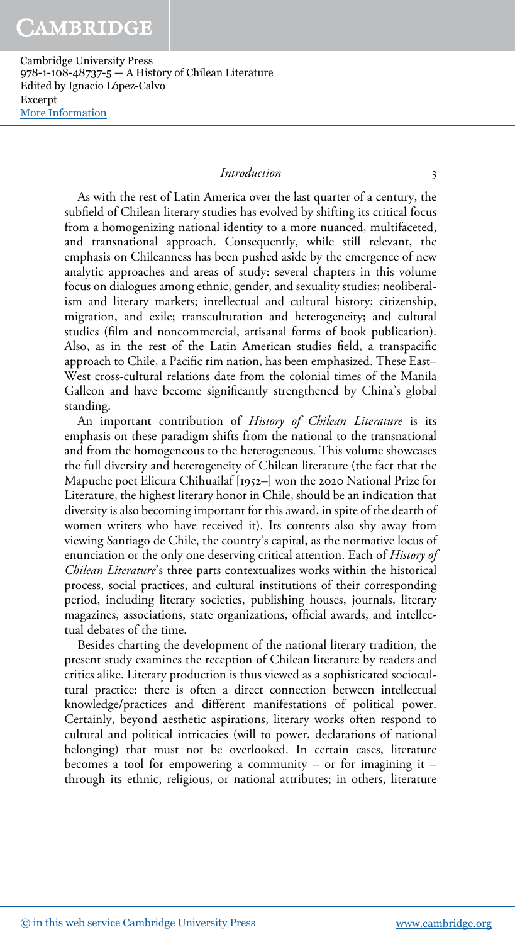#### Introduction 3

As with the rest of Latin America over the last quarter of a century, the subfield of Chilean literary studies has evolved by shifting its critical focus from a homogenizing national identity to a more nuanced, multifaceted, and transnational approach. Consequently, while still relevant, the emphasis on Chileanness has been pushed aside by the emergence of new analytic approaches and areas of study: several chapters in this volume focus on dialogues among ethnic, gender, and sexuality studies; neoliberalism and literary markets; intellectual and cultural history; citizenship, migration, and exile; transculturation and heterogeneity; and cultural studies (film and noncommercial, artisanal forms of book publication). Also, as in the rest of the Latin American studies field, a transpacific approach to Chile, a Pacific rim nation, has been emphasized. These East– West cross-cultural relations date from the colonial times of the Manila Galleon and have become significantly strengthened by China's global standing.

An important contribution of History of Chilean Literature is its emphasis on these paradigm shifts from the national to the transnational and from the homogeneous to the heterogeneous. This volume showcases the full diversity and heterogeneity of Chilean literature (the fact that the Mapuche poet Elicura Chihuailaf [1952–] won the 2020 National Prize for Literature, the highest literary honor in Chile, should be an indication that diversity is also becoming important for this award, in spite of the dearth of women writers who have received it). Its contents also shy away from viewing Santiago de Chile, the country's capital, as the normative locus of enunciation or the only one deserving critical attention. Each of History of Chilean Literature's three parts contextualizes works within the historical process, social practices, and cultural institutions of their corresponding period, including literary societies, publishing houses, journals, literary magazines, associations, state organizations, official awards, and intellectual debates of the time.

Besides charting the development of the national literary tradition, the present study examines the reception of Chilean literature by readers and critics alike. Literary production is thus viewed as a sophisticated sociocultural practice: there is often a direct connection between intellectual knowledge/practices and different manifestations of political power. Certainly, beyond aesthetic aspirations, literary works often respond to cultural and political intricacies (will to power, declarations of national belonging) that must not be overlooked. In certain cases, literature becomes a tool for empowering a community – or for imagining it – through its ethnic, religious, or national attributes; in others, literature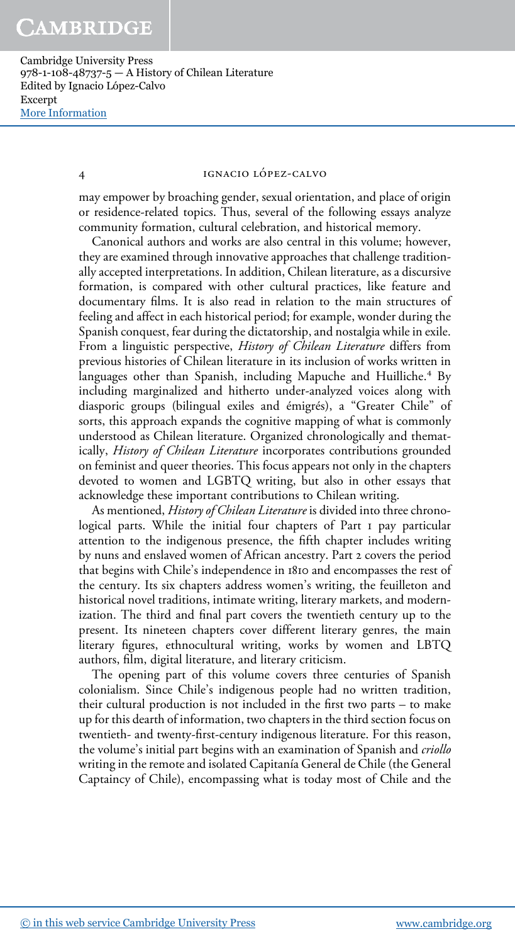# 4 IGNACIO LÓPEZ-CALVO

may empower by broaching gender, sexual orientation, and place of origin or residence-related topics. Thus, several of the following essays analyze community formation, cultural celebration, and historical memory.

Canonical authors and works are also central in this volume; however, they are examined through innovative approaches that challenge traditionally accepted interpretations. In addition, Chilean literature, as a discursive formation, is compared with other cultural practices, like feature and documentary films. It is also read in relation to the main structures of feeling and affect in each historical period; for example, wonder during the Spanish conquest, fear during the dictatorship, and nostalgia while in exile. From a linguistic perspective, History of Chilean Literature differs from previous histories of Chilean literature in its inclusion of works written in .<br>languages other than Spanish, including Mapuche and Huilliche.<sup>4</sup> By including marginalized and hitherto under-analyzed voices along with diasporic groups (bilingual exiles and émigrés), a "Greater Chile" of sorts, this approach expands the cognitive mapping of what is commonly understood as Chilean literature. Organized chronologically and thematically, History of Chilean Literature incorporates contributions grounded on feminist and queer theories. This focus appears not only in the chapters devoted to women and LGBTQ writing, but also in other essays that acknowledge these important contributions to Chilean writing.

As mentioned, History of Chilean Literature is divided into three chronological parts. While the initial four chapters of Part 1 pay particular attention to the indigenous presence, the fifth chapter includes writing by nuns and enslaved women of African ancestry. Part 2 covers the period that begins with Chile's independence in 1810 and encompasses the rest of the century. Its six chapters address women's writing, the feuilleton and historical novel traditions, intimate writing, literary markets, and modernization. The third and final part covers the twentieth century up to the present. Its nineteen chapters cover different literary genres, the main literary figures, ethnocultural writing, works by women and LBTQ authors, film, digital literature, and literary criticism.

The opening part of this volume covers three centuries of Spanish colonialism. Since Chile's indigenous people had no written tradition, their cultural production is not included in the first two parts – to make up for this dearth of information, two chapters in the third section focus on twentieth- and twenty-first-century indigenous literature. For this reason, the volume's initial part begins with an examination of Spanish and *criollo* writing in the remote and isolated Capitanía General de Chile (the General Captaincy of Chile), encompassing what is today most of Chile and the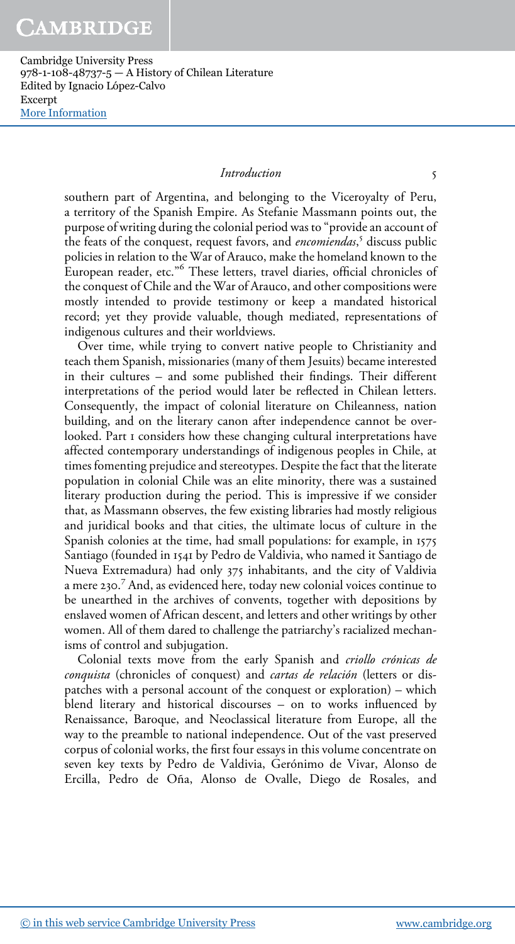#### Introduction 5

southern part of Argentina, and belonging to the Viceroyalty of Peru, a territory of the Spanish Empire. As Stefanie Massmann points out, the purpose of writing during the colonial period was to "provide an account of the feats of the conquest, request favors, and *encomiendas*,<sup>5</sup> discuss public policies in relation to the War of Arauco, make the homeland known to the .<br>European reader, etc."<sup>6</sup> These letters, travel diaries, official chronicles of the conquest of Chile and the War of Arauco, and other compositions were mostly intended to provide testimony or keep a mandated historical record; yet they provide valuable, though mediated, representations of indigenous cultures and their worldviews.

Over time, while trying to convert native people to Christianity and teach them Spanish, missionaries (many of them Jesuits) became interested in their cultures – and some published their findings. Their different interpretations of the period would later be reflected in Chilean letters. Consequently, the impact of colonial literature on Chileanness, nation building, and on the literary canon after independence cannot be overlooked. Part 1 considers how these changing cultural interpretations have affected contemporary understandings of indigenous peoples in Chile, at times fomenting prejudice and stereotypes. Despite the fact that the literate population in colonial Chile was an elite minority, there was a sustained literary production during the period. This is impressive if we consider that, as Massmann observes, the few existing libraries had mostly religious and juridical books and that cities, the ultimate locus of culture in the Spanish colonies at the time, had small populations: for example, in 1575 Santiago (founded in 1541 by Pedro de Valdivia, who named it Santiago de Nueva Extremadura) had only 375 inhabitants, and the city of Valdivia a mere 230. 7 And, as evidenced here, today new colonial voices continue to be unearthed in the archives of convents, together with depositions by enslaved women of African descent, and letters and other writings by other women. All of them dared to challenge the patriarchy's racialized mechanisms of control and subjugation.

Colonial texts move from the early Spanish and criollo crónicas de conquista (chronicles of conquest) and cartas de relación (letters or dispatches with a personal account of the conquest or exploration) – which blend literary and historical discourses – on to works influenced by Renaissance, Baroque, and Neoclassical literature from Europe, all the way to the preamble to national independence. Out of the vast preserved corpus of colonial works, the first four essays in this volume concentrate on seven key texts by Pedro de Valdivia, Gerónimo de Vivar, Alonso de Ercilla, Pedro de Oña, Alonso de Ovalle, Diego de Rosales, and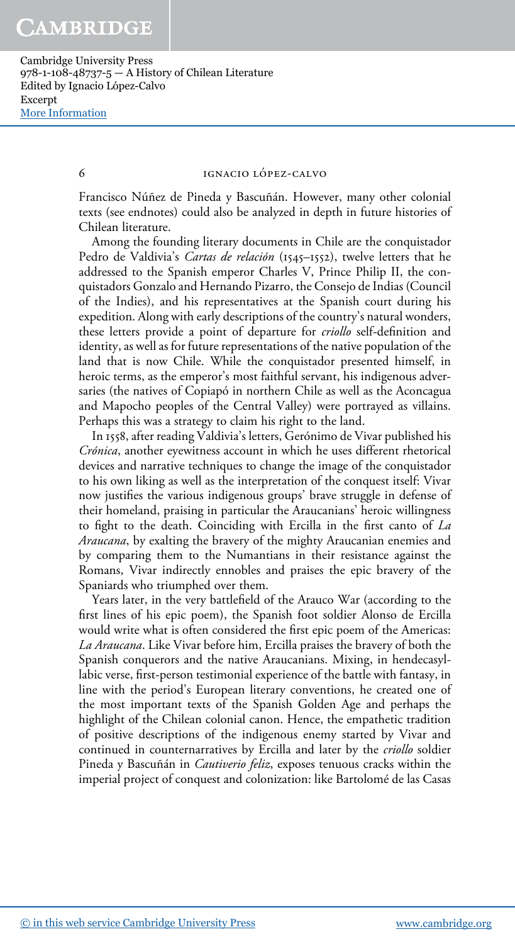## 6 IGNACIO LÓPEZ-CALVO

Francisco Núñez de Pineda y Bascuñán. However, many other colonial texts (see endnotes) could also be analyzed in depth in future histories of Chilean literature.

Among the founding literary documents in Chile are the conquistador Pedro de Valdivia's *Cartas de relación* (1545–1552), twelve letters that he addressed to the Spanish emperor Charles V, Prince Philip II, the conquistadors Gonzalo and Hernando Pizarro, the Consejo de Indias (Council of the Indies), and his representatives at the Spanish court during his expedition. Along with early descriptions of the country's natural wonders, these letters provide a point of departure for criollo self-definition and identity, as well as for future representations of the native population of the land that is now Chile. While the conquistador presented himself, in heroic terms, as the emperor's most faithful servant, his indigenous adversaries (the natives of Copiapó in northern Chile as well as the Aconcagua and Mapocho peoples of the Central Valley) were portrayed as villains. Perhaps this was a strategy to claim his right to the land.

In 1558, after reading Valdivia's letters, Gerónimo de Vivar published his Crónica, another eyewitness account in which he uses different rhetorical devices and narrative techniques to change the image of the conquistador to his own liking as well as the interpretation of the conquest itself: Vivar now justifies the various indigenous groups' brave struggle in defense of their homeland, praising in particular the Araucanians' heroic willingness to fight to the death. Coinciding with Ercilla in the first canto of La Araucana, by exalting the bravery of the mighty Araucanian enemies and by comparing them to the Numantians in their resistance against the Romans, Vivar indirectly ennobles and praises the epic bravery of the Spaniards who triumphed over them.

Years later, in the very battlefield of the Arauco War (according to the first lines of his epic poem), the Spanish foot soldier Alonso de Ercilla would write what is often considered the first epic poem of the Americas: La Araucana. Like Vivar before him, Ercilla praises the bravery of both the Spanish conquerors and the native Araucanians. Mixing, in hendecasyllabic verse, first-person testimonial experience of the battle with fantasy, in line with the period's European literary conventions, he created one of the most important texts of the Spanish Golden Age and perhaps the highlight of the Chilean colonial canon. Hence, the empathetic tradition of positive descriptions of the indigenous enemy started by Vivar and continued in counternarratives by Ercilla and later by the *criollo* soldier Pineda y Bascuñán in *Cautiverio feliz*, exposes tenuous cracks within the imperial project of conquest and colonization: like Bartolomé de las Casas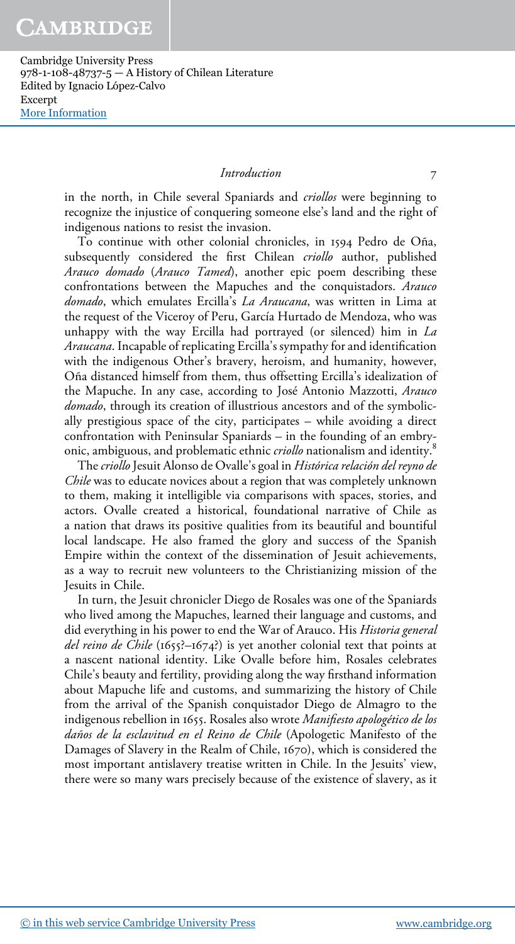# Introduction 7

in the north, in Chile several Spaniards and *criollos* were beginning to recognize the injustice of conquering someone else's land and the right of indigenous nations to resist the invasion.

To continue with other colonial chronicles, in 1594 Pedro de Oña, subsequently considered the first Chilean criollo author, published Arauco domado (Arauco Tamed), another epic poem describing these confrontations between the Mapuches and the conquistadors. Arauco domado, which emulates Ercilla's La Araucana, was written in Lima at the request of the Viceroy of Peru, García Hurtado de Mendoza, who was unhappy with the way Ercilla had portrayed (or silenced) him in  $La$ Araucana. Incapable of replicating Ercilla's sympathy for and identification with the indigenous Other's bravery, heroism, and humanity, however, Oña distanced himself from them, thus offsetting Ercilla's idealization of the Mapuche. In any case, according to José Antonio Mazzotti, Arauco domado, through its creation of illustrious ancestors and of the symbolically prestigious space of the city, participates – while avoiding a direct confrontation with Peninsular Spaniards – in the founding of an embryonic, ambiguous, and problematic ethnic criollo nationalism and identity.<sup>8</sup>

The criollo Jesuit Alonso de Ovalle's goal in Histórica relación del reyno de Chile was to educate novices about a region that was completely unknown to them, making it intelligible via comparisons with spaces, stories, and actors. Ovalle created a historical, foundational narrative of Chile as a nation that draws its positive qualities from its beautiful and bountiful local landscape. He also framed the glory and success of the Spanish Empire within the context of the dissemination of Jesuit achievements, as a way to recruit new volunteers to the Christianizing mission of the Jesuits in Chile.

In turn, the Jesuit chronicler Diego de Rosales was one of the Spaniards who lived among the Mapuches, learned their language and customs, and did everything in his power to end the War of Arauco. His Historia general del reino de Chile (1655?–1674?) is yet another colonial text that points at a nascent national identity. Like Ovalle before him, Rosales celebrates Chile's beauty and fertility, providing along the way firsthand information about Mapuche life and customs, and summarizing the history of Chile from the arrival of the Spanish conquistador Diego de Almagro to the indigenous rebellion in 1655. Rosales also wrote Manifiesto apologético de los daños de la esclavitud en el Reino de Chile (Apologetic Manifesto of the Damages of Slavery in the Realm of Chile, 1670), which is considered the most important antislavery treatise written in Chile. In the Jesuits' view, there were so many wars precisely because of the existence of slavery, as it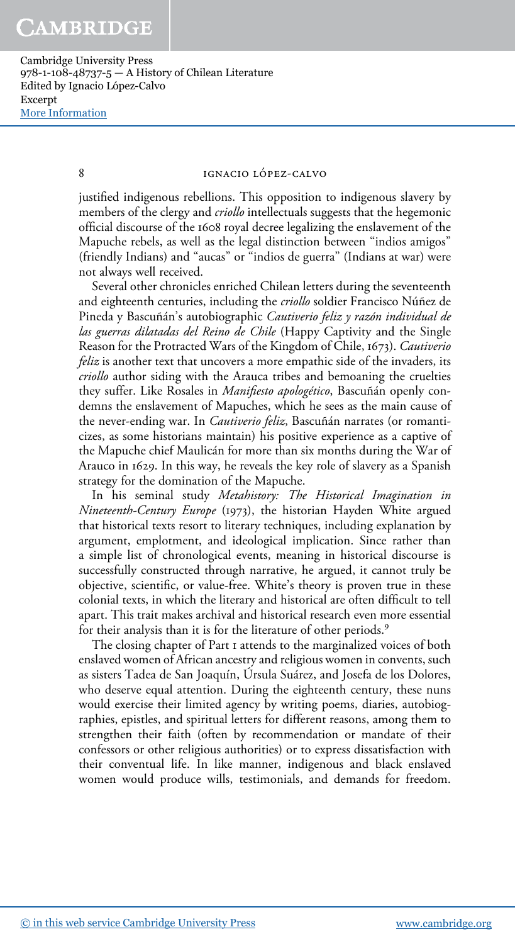## 8 IGNACIO LÓPEZ-CALVO

justified indigenous rebellions. This opposition to indigenous slavery by members of the clergy and *criollo* intellectuals suggests that the hegemonic official discourse of the 1608 royal decree legalizing the enslavement of the Mapuche rebels, as well as the legal distinction between "indios amigos" (friendly Indians) and "aucas" or "indios de guerra" (Indians at war) were not always well received.

Several other chronicles enriched Chilean letters during the seventeenth and eighteenth centuries, including the criollo soldier Francisco Núñez de Pineda y Bascuñán's autobiographic Cautiverio feliz y razón individual de las guerras dilatadas del Reino de Chile (Happy Captivity and the Single Reason for the Protracted Wars of the Kingdom of Chile, 1673). Cautiverio feliz is another text that uncovers a more empathic side of the invaders, its criollo author siding with the Arauca tribes and bemoaning the cruelties they suffer. Like Rosales in Manifiesto apologético, Bascuñán openly condemns the enslavement of Mapuches, which he sees as the main cause of the never-ending war. In *Cautiverio feliz*, Bascuñán narrates (or romanticizes, as some historians maintain) his positive experience as a captive of the Mapuche chief Maulicán for more than six months during the War of Arauco in 1629. In this way, he reveals the key role of slavery as a Spanish strategy for the domination of the Mapuche.

In his seminal study Metahistory: The Historical Imagination in Nineteenth-Century Europe (1973), the historian Hayden White argued that historical texts resort to literary techniques, including explanation by argument, emplotment, and ideological implication. Since rather than a simple list of chronological events, meaning in historical discourse is successfully constructed through narrative, he argued, it cannot truly be objective, scientific, or value-free. White's theory is proven true in these colonial texts, in which the literary and historical are often difficult to tell apart. This trait makes archival and historical research even more essential for their analysis than it is for the literature of other periods.<sup>9</sup>

The closing chapter of Part 1 attends to the marginalized voices of both enslaved women of African ancestry and religious women in convents, such as sisters Tadea de San Joaquín, Úrsula Suárez, and Josefa de los Dolores, who deserve equal attention. During the eighteenth century, these nuns would exercise their limited agency by writing poems, diaries, autobiographies, epistles, and spiritual letters for different reasons, among them to strengthen their faith (often by recommendation or mandate of their confessors or other religious authorities) or to express dissatisfaction with their conventual life. In like manner, indigenous and black enslaved women would produce wills, testimonials, and demands for freedom.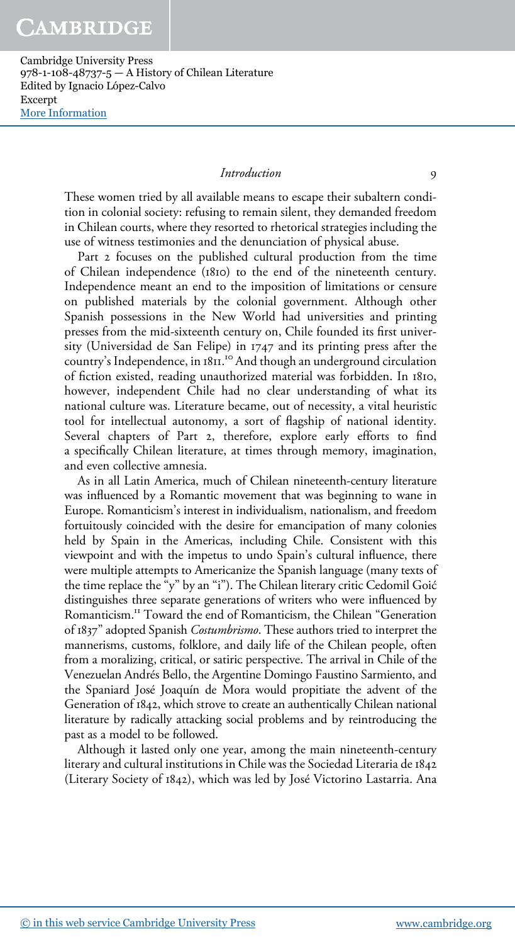## Introduction 9

These women tried by all available means to escape their subaltern condition in colonial society: refusing to remain silent, they demanded freedom in Chilean courts, where they resorted to rhetorical strategies including the use of witness testimonies and the denunciation of physical abuse.

Part 2 focuses on the published cultural production from the time of Chilean independence (1810) to the end of the nineteenth century. Independence meant an end to the imposition of limitations or censure on published materials by the colonial government. Although other Spanish possessions in the New World had universities and printing presses from the mid-sixteenth century on, Chile founded its first university (Universidad de San Felipe) in 1747 and its printing press after the country's Independence, in 1811. <sup>10</sup> And though an underground circulation of fiction existed, reading unauthorized material was forbidden. In 1810, however, independent Chile had no clear understanding of what its national culture was. Literature became, out of necessity, a vital heuristic tool for intellectual autonomy, a sort of flagship of national identity. Several chapters of Part 2, therefore, explore early efforts to find a specifically Chilean literature, at times through memory, imagination, and even collective amnesia.

As in all Latin America, much of Chilean nineteenth-century literature was influenced by a Romantic movement that was beginning to wane in Europe. Romanticism's interest in individualism, nationalism, and freedom fortuitously coincided with the desire for emancipation of many colonies held by Spain in the Americas, including Chile. Consistent with this viewpoint and with the impetus to undo Spain's cultural influence, there were multiple attempts to Americanize the Spanish language (many texts of the time replace the "y" by an "i"). The Chilean literary critic Cedomil Goić distinguishes three separate generations of writers who were influenced by Romanticism.<sup>11</sup> Toward the end of Romanticism, the Chilean "Generation of 1837" adopted Spanish Costumbrismo. These authors tried to interpret the mannerisms, customs, folklore, and daily life of the Chilean people, often from a moralizing, critical, or satiric perspective. The arrival in Chile of the Venezuelan Andrés Bello, the Argentine Domingo Faustino Sarmiento, and the Spaniard José Joaquín de Mora would propitiate the advent of the Generation of 1842, which strove to create an authentically Chilean national literature by radically attacking social problems and by reintroducing the past as a model to be followed.

Although it lasted only one year, among the main nineteenth-century literary and cultural institutions in Chile was the Sociedad Literaria de 1842 (Literary Society of 1842), which was led by José Victorino Lastarria. Ana